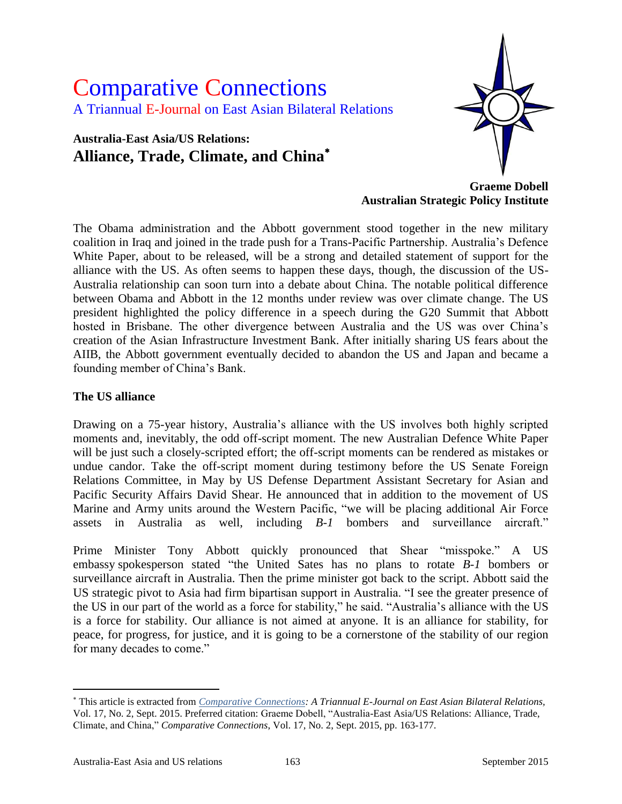# Comparative Connections A Triannual E-Journal on East Asian Bilateral Relations

# **Australia-East Asia/US Relations: Alliance, Trade, Climate, and China**



**Graeme Dobell Australian Strategic Policy Institute**

The Obama administration and the Abbott government stood together in the new military coalition in Iraq and joined in the trade push for a Trans-Pacific Partnership. Australia's Defence White Paper, about to be released, will be a strong and detailed statement of support for the alliance with the US. As often seems to happen these days, though, the discussion of the US-Australia relationship can soon turn into a debate about China. The notable political difference between Obama and Abbott in the 12 months under review was over climate change. The US president highlighted the policy difference in a speech during the G20 Summit that Abbott hosted in Brisbane. The other divergence between Australia and the US was over China's creation of the Asian Infrastructure Investment Bank. After initially sharing US fears about the AIIB, the Abbott government eventually decided to abandon the US and Japan and became a founding member of China's Bank.

#### **The US alliance**

Drawing on a 75-year history, Australia's alliance with the US involves both highly scripted moments and, inevitably, the odd off-script moment. The new Australian Defence White Paper will be just such a closely-scripted effort; the off-script moments can be rendered as mistakes or undue candor. Take the off-script moment during testimony before the US Senate Foreign Relations Committee, in May by US Defense Department Assistant Secretary for Asian and Pacific Security Affairs David Shear. He announced that in addition to the movement of US Marine and Army units around the Western Pacific, "we will be placing additional Air Force assets in Australia as well, including *B-1* bombers and surveillance aircraft."

Prime Minister Tony Abbott quickly pronounced that Shear "misspoke." A US embassy spokesperson stated "the United Sates has no plans to rotate *B-1* bombers or surveillance aircraft in Australia. Then the prime minister got back to the script. Abbott said the US strategic pivot to Asia had firm bipartisan support in Australia. "I see the greater presence of the US in our part of the world as a force for stability," he said. "Australia's alliance with the US is a force for stability. Our alliance is not aimed at anyone. It is an alliance for stability, for peace, for progress, for justice, and it is going to be a cornerstone of the stability of our region for many decades to come."

 $\overline{a}$ 

This article is extracted from *[Comparative Connections:](http://csis.org/program/comparative-connections) A Triannual E-Journal on East Asian Bilateral Relations,*  Vol. 17, No. 2, Sept. 2015. Preferred citation: Graeme Dobell, "Australia-East Asia/US Relations: Alliance, Trade, Climate, and China," *Comparative Connections*, Vol. 17, No. 2, Sept. 2015, pp. 163-177.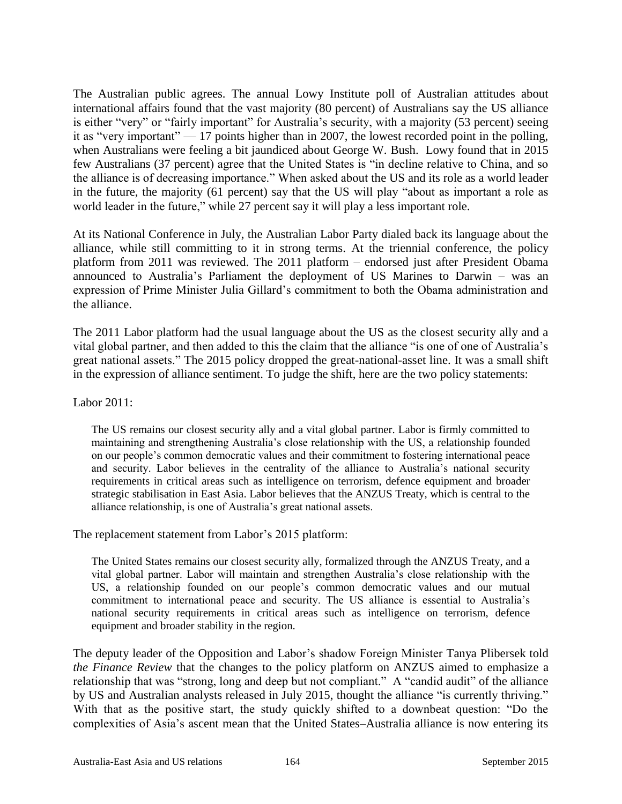The Australian public agrees. The annual Lowy Institute poll of Australian attitudes about international affairs found that the vast majority (80 percent) of Australians say the US alliance is either "very" or "fairly important" for Australia's security, with a majority (53 percent) seeing it as "very important" — 17 points higher than in 2007, the lowest recorded point in the polling, when Australians were feeling a bit jaundiced about George W. Bush. Lowy found that in 2015 few Australians (37 percent) agree that the United States is "in decline relative to China, and so the alliance is of decreasing importance." When asked about the US and its role as a world leader in the future, the majority (61 percent) say that the US will play "about as important a role as world leader in the future," while 27 percent say it will play a less important role.

At its National Conference in July, the Australian Labor Party dialed back its language about the alliance, while still committing to it in strong terms. At the triennial conference, the policy platform from 2011 was reviewed. The 2011 platform – endorsed just after President Obama announced to Australia's Parliament the deployment of US Marines to Darwin – was an expression of Prime Minister Julia Gillard's commitment to both the Obama administration and the alliance.

The 2011 Labor platform had the usual language about the US as the closest security ally and a vital global partner, and then added to this the claim that the alliance "is one of one of Australia's great national assets." The 2015 policy dropped the great-national-asset line. It was a small shift in the expression of alliance sentiment. To judge the shift, here are the two policy statements:

#### Labor 2011:

The US remains our closest security ally and a vital global partner. Labor is firmly committed to maintaining and strengthening Australia's close relationship with the US, a relationship founded on our people's common democratic values and their commitment to fostering international peace and security. Labor believes in the centrality of the alliance to Australia's national security requirements in critical areas such as intelligence on terrorism, defence equipment and broader strategic stabilisation in East Asia. Labor believes that the ANZUS Treaty, which is central to the alliance relationship, is one of Australia's great national assets.

The replacement statement from Labor's 2015 platform:

The United States remains our closest security ally, formalized through the ANZUS Treaty, and a vital global partner. Labor will maintain and strengthen Australia's close relationship with the US, a relationship founded on our people's common democratic values and our mutual commitment to international peace and security. The US alliance is essential to Australia's national security requirements in critical areas such as intelligence on terrorism, defence equipment and broader stability in the region.

The deputy leader of the Opposition and Labor's shadow Foreign Minister Tanya Plibersek told *the Finance Review* that the changes to the policy platform on ANZUS aimed to emphasize a relationship that was "strong, long and deep but not compliant." A "candid audit" of the alliance by US and Australian analysts released in July 2015, thought the alliance "is currently thriving." With that as the positive start, the study quickly shifted to a downbeat question: "Do the complexities of Asia's ascent mean that the United States–Australia alliance is now entering its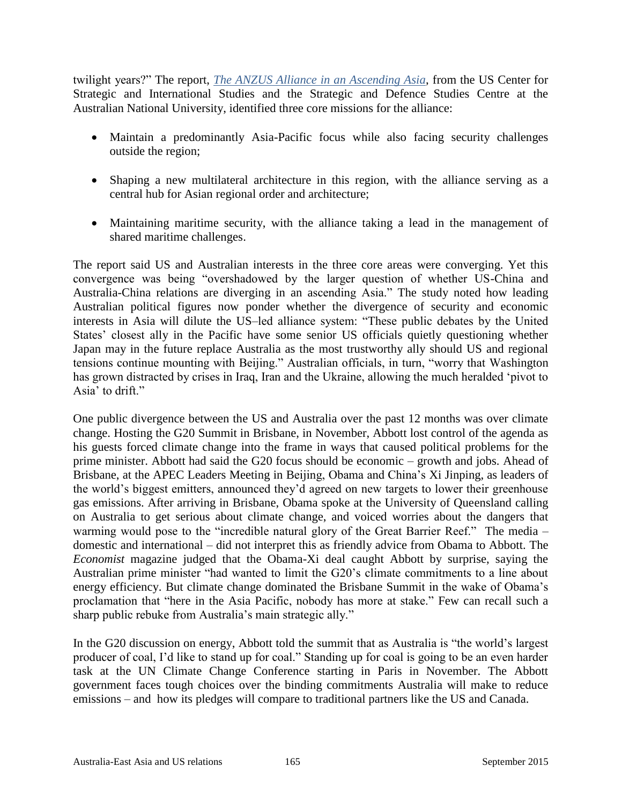twilight years?" The report, *[The ANZUS Alliance in an Ascending Asia](http://ips.cap.anu.edu.au/publications/anzus-alliance-ascending-asia)*, from the US Center for Strategic and International Studies and the Strategic and Defence Studies Centre at the Australian National University, identified three core missions for the alliance:

- Maintain a predominantly Asia-Pacific focus while also facing security challenges outside the region;
- Shaping a new multilateral architecture in this region, with the alliance serving as a central hub for Asian regional order and architecture;
- Maintaining maritime security, with the alliance taking a lead in the management of shared maritime challenges.

The report said US and Australian interests in the three core areas were converging. Yet this convergence was being "overshadowed by the larger question of whether US-China and Australia-China relations are diverging in an ascending Asia." The study noted how leading Australian political figures now ponder whether the divergence of security and economic interests in Asia will dilute the US–led alliance system: "These public debates by the United States' closest ally in the Pacific have some senior US officials quietly questioning whether Japan may in the future replace Australia as the most trustworthy ally should US and regional tensions continue mounting with Beijing." Australian officials, in turn, "worry that Washington has grown distracted by crises in Iraq, Iran and the Ukraine, allowing the much heralded 'pivot to Asia' to drift."

One public divergence between the US and Australia over the past 12 months was over climate change. Hosting the G20 Summit in Brisbane, in November, Abbott lost control of the agenda as his guests forced climate change into the frame in ways that caused political problems for the prime minister. Abbott had said the G20 focus should be economic – growth and jobs. Ahead of Brisbane, at the APEC Leaders Meeting in Beijing, Obama and China's Xi Jinping, as leaders of the world's biggest emitters, announced they'd agreed on new targets to lower their greenhouse gas emissions. After arriving in Brisbane, Obama spoke at the University of Queensland calling on Australia to get serious about climate change, and voiced worries about the dangers that warming would pose to the "incredible natural glory of the Great Barrier Reef." The media – domestic and international – did not interpret this as friendly advice from Obama to Abbott. The *Economist* magazine judged that the Obama-Xi deal caught Abbott by surprise, saying the Australian prime minister "had wanted to limit the G20's climate commitments to a line about energy efficiency. But climate change dominated the Brisbane Summit in the wake of Obama's proclamation that "here in the Asia Pacific, nobody has more at stake." Few can recall such a sharp public rebuke from Australia's main strategic ally."

In the G20 discussion on energy, Abbott told the summit that as Australia is "the world's largest producer of coal, I'd like to stand up for coal." Standing up for coal is going to be an even harder task at the UN Climate Change Conference starting in Paris in November. The Abbott government faces tough choices over the binding commitments Australia will make to reduce emissions – and how its pledges will compare to traditional partners like the US and Canada.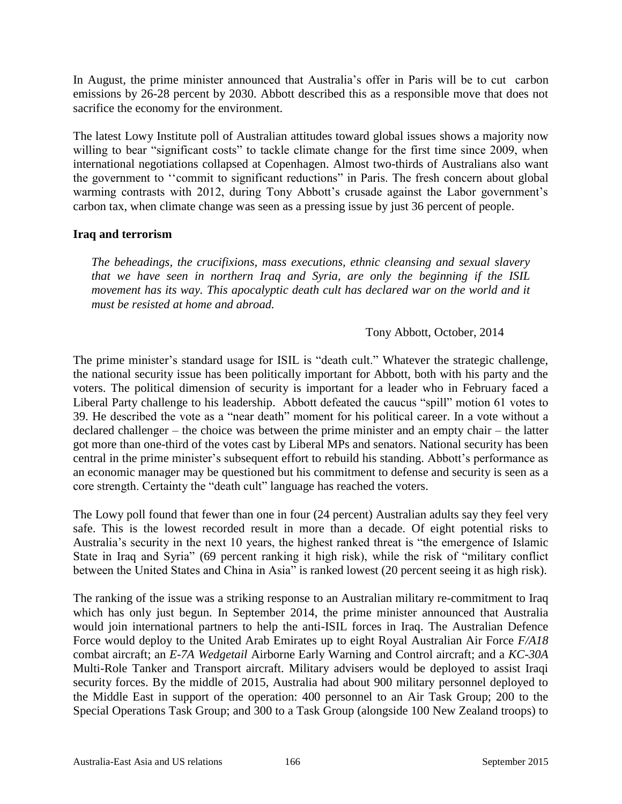In August, the prime minister announced that Australia's offer in Paris will be to cut carbon emissions by 26-28 percent by 2030. Abbott described this as a responsible move that does not sacrifice the economy for the environment.

The latest Lowy Institute poll of Australian attitudes toward global issues shows a majority now willing to bear "significant costs" to tackle climate change for the first time since 2009, when international negotiations collapsed at Copenhagen. Almost two-thirds of Australians also want the government to ''commit to significant reductions" in Paris. The fresh concern about global warming contrasts with 2012, during Tony Abbott's crusade against the Labor government's carbon tax, when climate change was seen as a pressing issue by just 36 percent of people.

#### **Iraq and terrorism**

*The beheadings, the crucifixions, mass executions, ethnic cleansing and sexual slavery that we have seen in northern Iraq and Syria, are only the beginning if the ISIL movement has its way. This apocalyptic death cult has declared war on the world and it must be resisted at home and abroad.*

#### Tony Abbott, October, 2014

The prime minister's standard usage for ISIL is "death cult." Whatever the strategic challenge, the national security issue has been politically important for Abbott, both with his party and the voters. The political dimension of security is important for a leader who in February faced a Liberal Party challenge to his leadership. Abbott defeated the caucus "spill" motion 61 votes to 39. He described the vote as a "near death" moment for his political career. In a vote without a declared challenger – the choice was between the prime minister and an empty chair – the latter got more than one-third of the votes cast by Liberal MPs and senators. National security has been central in the prime minister's subsequent effort to rebuild his standing. Abbott's performance as an economic manager may be questioned but his commitment to defense and security is seen as a core strength. Certainty the "death cult" language has reached the voters.

The Lowy poll found that fewer than one in four (24 percent) Australian adults say they feel very safe. This is the lowest recorded result in more than a decade. Of eight potential risks to Australia's security in the next 10 years, the highest ranked threat is "the emergence of Islamic State in Iraq and Syria" (69 percent ranking it high risk), while the risk of "military conflict between the United States and China in Asia" is ranked lowest (20 percent seeing it as high risk).

The ranking of the issue was a striking response to an Australian military re-commitment to Iraq which has only just begun. In September 2014, the prime minister announced that Australia would join international partners to help the anti-ISIL forces in Iraq. The Australian Defence Force would deploy to the United Arab Emirates up to eight Royal Australian Air Force *F/A18* combat aircraft; an *E-7A Wedgetail* Airborne Early Warning and Control aircraft; and a *KC-30A* Multi-Role Tanker and Transport aircraft. Military advisers would be deployed to assist Iraqi security forces. By the middle of 2015, Australia had about 900 military personnel deployed to the Middle East in support of the operation: 400 personnel to an Air Task Group; 200 to the Special Operations Task Group; and 300 to a Task Group (alongside 100 New Zealand troops) to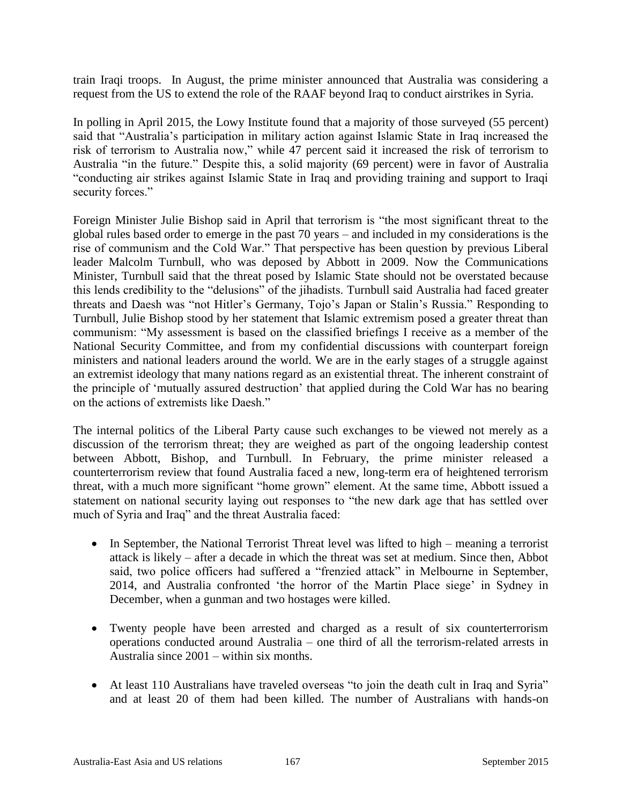train Iraqi troops. In August, the prime minister announced that Australia was considering a request from the US to extend the role of the RAAF beyond Iraq to conduct airstrikes in Syria.

In polling in April 2015, the Lowy Institute found that a majority of those surveyed (55 percent) said that "Australia's participation in military action against Islamic State in Iraq increased the risk of terrorism to Australia now," while 47 percent said it increased the risk of terrorism to Australia "in the future." Despite this, a solid majority (69 percent) were in favor of Australia "conducting air strikes against Islamic State in Iraq and providing training and support to Iraqi security forces."

Foreign Minister Julie Bishop said in April that terrorism is "the most significant threat to the global rules based order to emerge in the past 70 years – and included in my considerations is the rise of communism and the Cold War." That perspective has been question by previous Liberal leader Malcolm Turnbull, who was deposed by Abbott in 2009. Now the Communications Minister, Turnbull said that the threat posed by Islamic State should not be overstated because this lends credibility to the "delusions" of the jihadists. Turnbull said Australia had faced greater threats and Daesh was "not Hitler's Germany, Tojo's Japan or Stalin's Russia." Responding to Turnbull, Julie Bishop stood by her statement that Islamic extremism posed a greater threat than communism: "My assessment is based on the classified briefings I receive as a member of the National Security Committee, and from my confidential discussions with counterpart foreign ministers and national leaders around the world. We are in the early stages of a struggle against an extremist ideology that many nations regard as an existential threat. The inherent constraint of the principle of 'mutually assured destruction' that applied during the Cold War has no bearing on the actions of extremists like Daesh."

The internal politics of the Liberal Party cause such exchanges to be viewed not merely as a discussion of the terrorism threat; they are weighed as part of the ongoing leadership contest between Abbott, Bishop, and Turnbull. In February, the prime minister released a counterterrorism review that found Australia faced a new, long-term era of heightened terrorism threat, with a much more significant "home grown" element. At the same time, Abbott issued a statement on national security laying out responses to "the new dark age that has settled over much of Syria and Iraq" and the threat Australia faced:

- In September, the National Terrorist Threat level was lifted to high meaning a terrorist attack is likely – after a decade in which the threat was set at medium. Since then, Abbot said, two police officers had suffered a "frenzied attack" in Melbourne in September, 2014, and Australia confronted 'the horror of the Martin Place siege' in Sydney in December, when a gunman and two hostages were killed.
- Twenty people have been arrested and charged as a result of six counterterrorism operations conducted around Australia – one third of all the terrorism-related arrests in Australia since 2001 – within six months.
- At least 110 Australians have traveled overseas "to join the death cult in Iraq and Syria" and at least 20 of them had been killed. The number of Australians with hands-on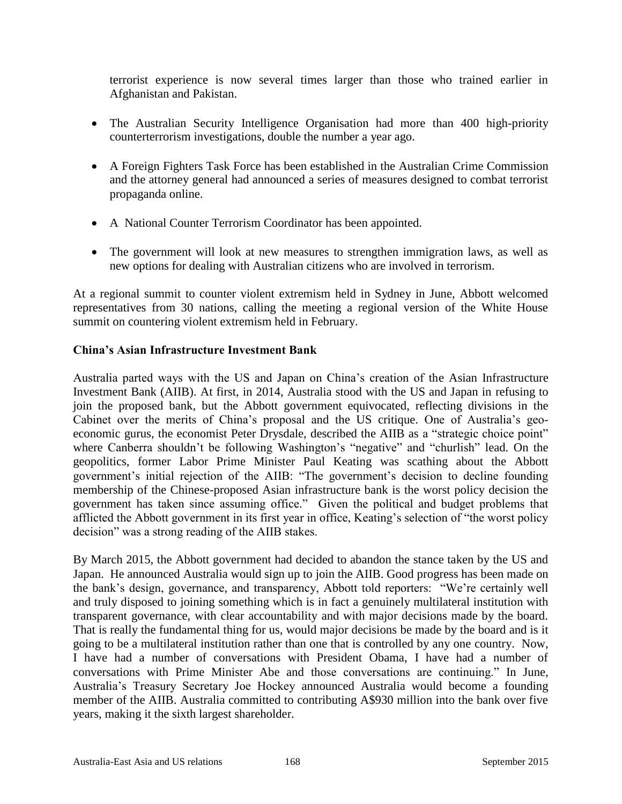terrorist experience is now several times larger than those who trained earlier in Afghanistan and Pakistan.

- The Australian Security Intelligence Organisation had more than 400 high-priority counterterrorism investigations, double the number a year ago.
- A Foreign Fighters Task Force has been established in the Australian Crime Commission and the attorney general had announced a series of measures designed to combat terrorist propaganda online.
- A National Counter Terrorism Coordinator has been appointed.
- The government will look at new measures to strengthen immigration laws, as well as new options for dealing with Australian citizens who are involved in terrorism.

At a regional summit to counter violent extremism held in Sydney in June, Abbott welcomed representatives from 30 nations, calling the meeting a regional version of the White House summit on countering violent extremism held in February.

# **China's Asian Infrastructure Investment Bank**

Australia parted ways with the US and Japan on China's creation of the Asian Infrastructure Investment Bank (AIIB). At first, in 2014, Australia stood with the US and Japan in refusing to join the proposed bank, but the Abbott government equivocated, reflecting divisions in the Cabinet over the merits of China's proposal and the US critique. One of Australia's geoeconomic gurus, the economist Peter Drysdale, described the AIIB as a "strategic choice point" where Canberra shouldn't be following Washington's "negative" and "churlish" lead. On the geopolitics, former Labor Prime Minister Paul Keating was scathing about the Abbott government's initial rejection of the AIIB: "The government's decision to decline founding membership of the Chinese-proposed Asian infrastructure bank is the worst policy decision the government has taken since assuming office." Given the political and budget problems that afflicted the Abbott government in its first year in office, Keating's selection of "the worst policy decision" was a strong reading of the AIIB stakes.

By March 2015, the Abbott government had decided to abandon the stance taken by the US and Japan. He announced Australia would sign up to join the AIIB. Good progress has been made on the bank's design, governance, and transparency, Abbott told reporters: "We're certainly well and truly disposed to joining something which is in fact a genuinely multilateral institution with transparent governance, with clear accountability and with major decisions made by the board. That is really the fundamental thing for us, would major decisions be made by the board and is it going to be a multilateral institution rather than one that is controlled by any one country. Now, I have had a number of conversations with President Obama, I have had a number of conversations with Prime Minister Abe and those conversations are continuing." In June, Australia's Treasury Secretary Joe Hockey announced Australia would become a founding member of the AIIB. Australia committed to contributing A\$930 million into the bank over five years, making it the sixth largest shareholder.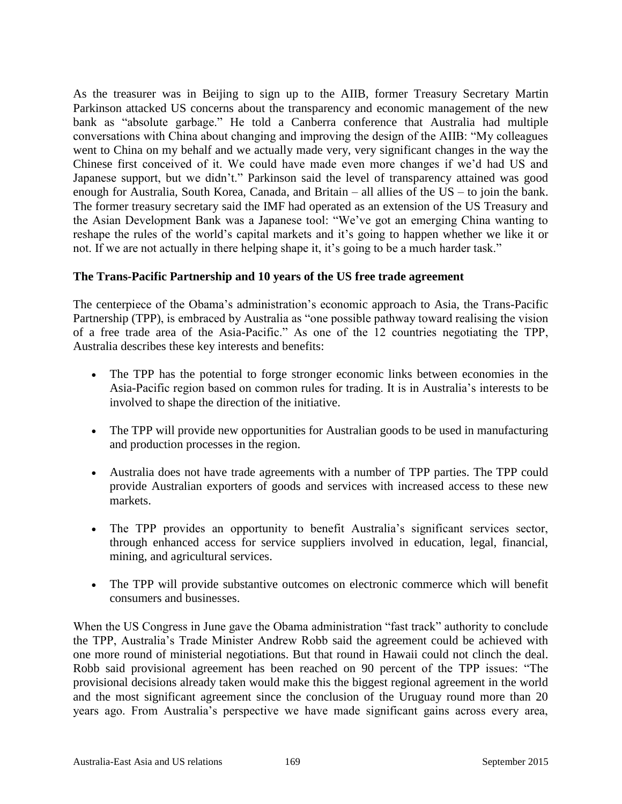As the treasurer was in Beijing to sign up to the AIIB, former Treasury Secretary Martin Parkinson attacked US concerns about the transparency and economic management of the new bank as "absolute garbage." He told a Canberra conference that Australia had multiple conversations with China about changing and improving the design of the AIIB: "My colleagues went to China on my behalf and we actually made very, very significant changes in the way the Chinese first conceived of it. We could have made even more changes if we'd had US and Japanese support, but we didn't." Parkinson said the level of transparency attained was good enough for Australia, South Korea, Canada, and Britain – all allies of the US – to join the bank. The former treasury secretary said the IMF had operated as an extension of the US Treasury and the Asian Development Bank was a Japanese tool: "We've got an emerging China wanting to reshape the rules of the world's capital markets and it's going to happen whether we like it or not. If we are not actually in there helping shape it, it's going to be a much harder task."

#### **The Trans-Pacific Partnership and 10 years of the US free trade agreement**

The centerpiece of the Obama's administration's economic approach to Asia, the Trans-Pacific Partnership (TPP), is embraced by Australia as "one possible pathway toward realising the vision of a free trade area of the Asia-Pacific." As one of the 12 countries negotiating the TPP, Australia describes these key interests and benefits:

- The TPP has the potential to forge stronger economic links between economies in the Asia-Pacific region based on common rules for trading. It is in Australia's interests to be involved to shape the direction of the initiative.
- The TPP will provide new opportunities for Australian goods to be used in manufacturing and production processes in the region.
- Australia does not have trade agreements with a number of TPP parties. The TPP could provide Australian exporters of goods and services with increased access to these new markets.
- The TPP provides an opportunity to benefit Australia's significant services sector, through enhanced access for service suppliers involved in education, legal, financial, mining, and agricultural services.
- The TPP will provide substantive outcomes on electronic commerce which will benefit consumers and businesses.

When the US Congress in June gave the Obama administration "fast track" authority to conclude the TPP, Australia's Trade Minister Andrew Robb said the agreement could be achieved with one more round of ministerial negotiations. But that round in Hawaii could not clinch the deal. Robb said provisional agreement has been reached on 90 percent of the TPP issues: "The provisional decisions already taken would make this the biggest regional agreement in the world and the most significant agreement since the conclusion of the Uruguay round more than 20 years ago. From Australia's perspective we have made significant gains across every area,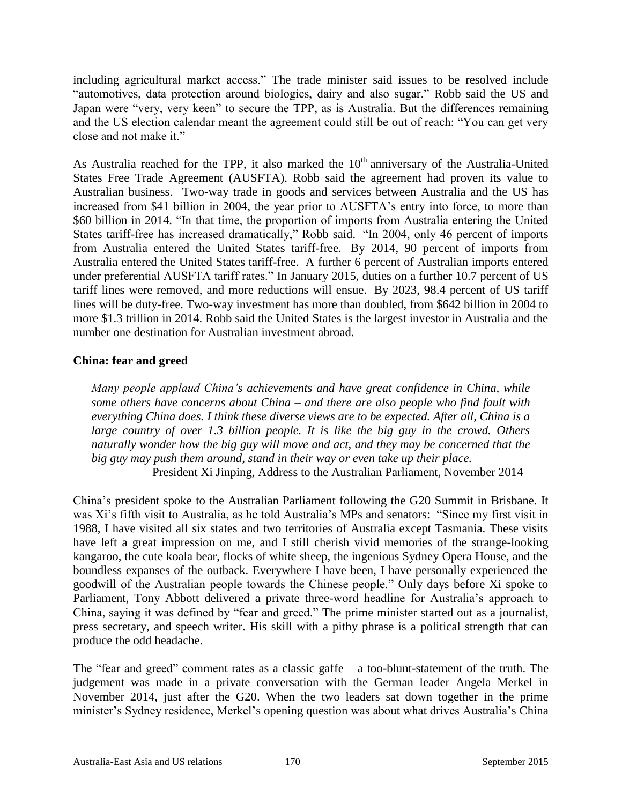including agricultural market access." The trade minister said issues to be resolved include "automotives, data protection around biologics, dairy and also sugar." Robb said the US and Japan were "very, very keen" to secure the TPP, as is Australia. But the differences remaining and the US election calendar meant the agreement could still be out of reach: "You can get very close and not make it."

As Australia reached for the TPP, it also marked the  $10<sup>th</sup>$  anniversary of the Australia-United States Free Trade Agreement (AUSFTA). Robb said the agreement had proven its value to Australian business. Two-way trade in goods and services between Australia and the US has increased from \$41 billion in 2004, the year prior to AUSFTA's entry into force, to more than \$60 billion in 2014. "In that time, the proportion of imports from Australia entering the United States tariff-free has increased dramatically," Robb said. "In 2004, only 46 percent of imports from Australia entered the United States tariff-free. By 2014, 90 percent of imports from Australia entered the United States tariff-free. A further 6 percent of Australian imports entered under preferential AUSFTA tariff rates." In January 2015, duties on a further 10.7 percent of US tariff lines were removed, and more reductions will ensue. By 2023, 98.4 percent of US tariff lines will be duty-free. Two-way investment has more than doubled, from \$642 billion in 2004 to more \$1.3 trillion in 2014. Robb said the United States is the largest investor in Australia and the number one destination for Australian investment abroad.

#### **China: fear and greed**

*Many people applaud China's achievements and have great confidence in China, while some others have concerns about China – and there are also people who find fault with everything China does. I think these diverse views are to be expected. After all, China is a*  large country of over 1.3 billion people. It is like the big guy in the crowd. Others *naturally wonder how the big guy will move and act, and they may be concerned that the big guy may push them around, stand in their way or even take up their place.* President Xi Jinping, Address to the Australian Parliament, November 2014

China's president spoke to the Australian Parliament following the G20 Summit in Brisbane. It was Xi's fifth visit to Australia, as he told Australia's MPs and senators: "Since my first visit in 1988, I have visited all six states and two territories of Australia except Tasmania. These visits have left a great impression on me, and I still cherish vivid memories of the strange-looking kangaroo, the cute koala bear, flocks of white sheep, the ingenious Sydney Opera House, and the boundless expanses of the outback. Everywhere I have been, I have personally experienced the goodwill of the Australian people towards the Chinese people." Only days before Xi spoke to Parliament, Tony Abbott delivered a private three-word headline for Australia's approach to China, saying it was defined by "fear and greed." The prime minister started out as a journalist, press secretary, and speech writer. His skill with a pithy phrase is a political strength that can produce the odd headache.

The "fear and greed" comment rates as a classic gaffe – a too-blunt-statement of the truth. The judgement was made in a private conversation with the German leader Angela Merkel in November 2014, just after the G20. When the two leaders sat down together in the prime minister's Sydney residence, Merkel's opening question was about what drives Australia's China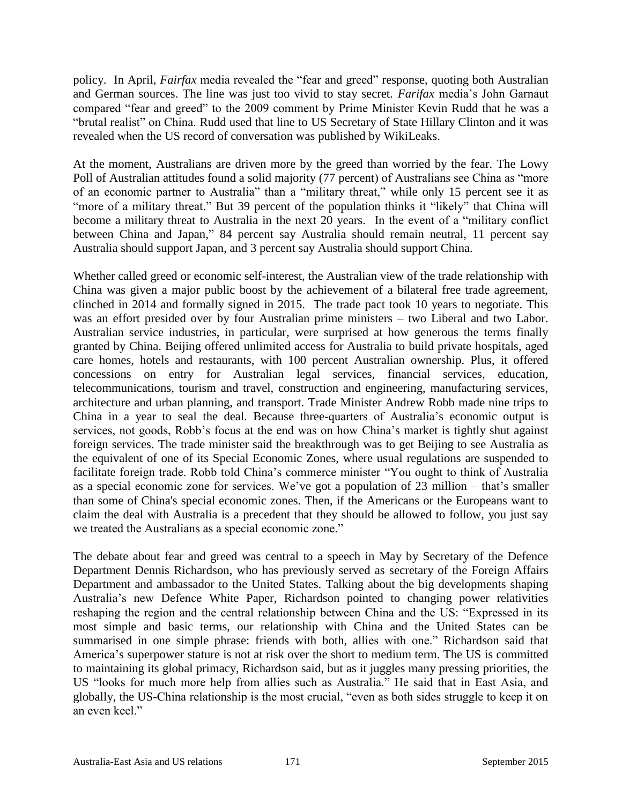policy. In April, *Fairfax* media revealed the "fear and greed" response, quoting both Australian and German sources. The line was just too vivid to stay secret. *Farifax* media's John Garnaut compared "fear and greed" to the 2009 comment by Prime Minister Kevin Rudd that he was a "brutal realist" on China. Rudd used that line to US Secretary of State Hillary Clinton and it was revealed when the US record of conversation was published by WikiLeaks.

At the moment, Australians are driven more by the greed than worried by the fear. The Lowy Poll of Australian attitudes found a solid majority (77 percent) of Australians see China as "more of an economic partner to Australia" than a "military threat," while only 15 percent see it as "more of a military threat." But 39 percent of the population thinks it "likely" that China will become a military threat to Australia in the next 20 years. In the event of a "military conflict" between China and Japan," 84 percent say Australia should remain neutral, 11 percent say Australia should support Japan, and 3 percent say Australia should support China.

Whether called greed or economic self-interest, the Australian view of the trade relationship with China was given a major public boost by the achievement of a bilateral free trade agreement, clinched in 2014 and formally signed in 2015. The trade pact took 10 years to negotiate. This was an effort presided over by four Australian prime ministers – two Liberal and two Labor. Australian service industries, in particular, were surprised at how generous the terms finally granted by China. Beijing offered unlimited access for Australia to build private hospitals, aged care homes, hotels and restaurants, with 100 percent Australian ownership. Plus, it offered concessions on entry for Australian legal services, financial services, education, telecommunications, tourism and travel, construction and engineering, manufacturing services, architecture and urban planning, and transport. Trade Minister Andrew Robb made nine trips to China in a year to seal the deal. Because three-quarters of Australia's economic output is services, not goods, Robb's focus at the end was on how China's market is tightly shut against foreign services. The trade minister said the breakthrough was to get Beijing to see Australia as the equivalent of one of its Special Economic Zones, where usual regulations are suspended to facilitate foreign trade. Robb told China's commerce minister "You ought to think of Australia as a special economic zone for services. We've got a population of 23 million – that's smaller than some of China's special economic zones. Then, if the Americans or the Europeans want to claim the deal with Australia is a precedent that they should be allowed to follow, you just say we treated the Australians as a special economic zone."

The debate about fear and greed was central to a speech in May by Secretary of the Defence Department Dennis Richardson, who has previously served as secretary of the Foreign Affairs Department and ambassador to the United States. Talking about the big developments shaping Australia's new Defence White Paper, Richardson pointed to changing power relativities reshaping the region and the central relationship between China and the US: "Expressed in its most simple and basic terms, our relationship with China and the United States can be summarised in one simple phrase: friends with both, allies with one." Richardson said that America's superpower stature is not at risk over the short to medium term. The US is committed to maintaining its global primacy, Richardson said, but as it juggles many pressing priorities, the US "looks for much more help from allies such as Australia." He said that in East Asia, and globally, the US-China relationship is the most crucial, "even as both sides struggle to keep it on an even keel."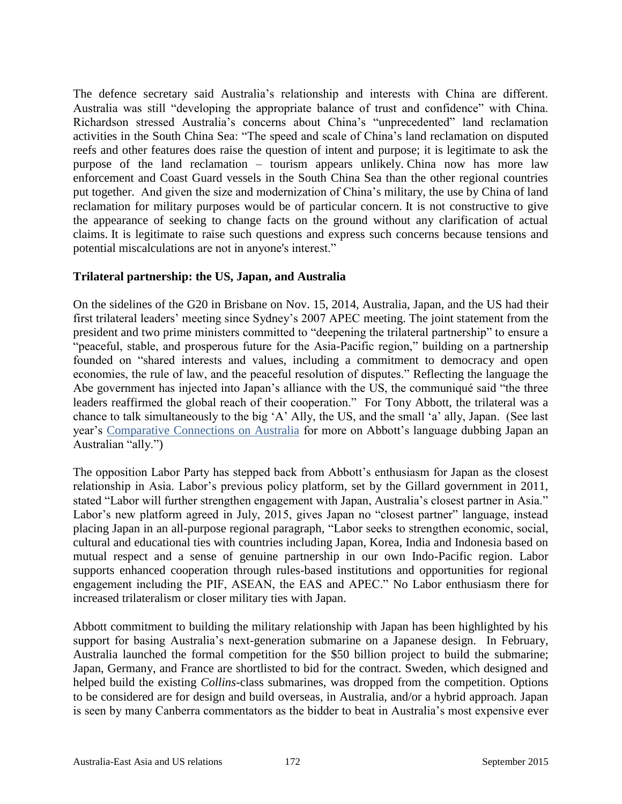The defence secretary said Australia's relationship and interests with China are different. Australia was still "developing the appropriate balance of trust and confidence" with China. Richardson stressed Australia's concerns about China's "unprecedented" land reclamation activities in the South China Sea: "The speed and scale of China's land reclamation on disputed reefs and other features does raise the question of intent and purpose; it is legitimate to ask the purpose of the land reclamation – tourism appears unlikely. China now has more law enforcement and Coast Guard vessels in the South China Sea than the other regional countries put together. And given the size and modernization of China's military, the use by China of land reclamation for military purposes would be of particular concern. It is not constructive to give the appearance of seeking to change facts on the ground without any clarification of actual claims. It is legitimate to raise such questions and express such concerns because tensions and potential miscalculations are not in anyone's interest."

#### **Trilateral partnership: the US, Japan, and Australia**

On the sidelines of the G20 in Brisbane on Nov. 15, 2014, Australia, Japan, and the US had their first trilateral leaders' meeting since Sydney's 2007 APEC meeting. The joint statement from the president and two prime ministers committed to "deepening the trilateral partnership" to ensure a "peaceful, stable, and prosperous future for the Asia-Pacific region," building on a partnership founded on "shared interests and values, including a commitment to democracy and open economies, the rule of law, and the peaceful resolution of disputes." Reflecting the language the Abe government has injected into Japan's alliance with the US, the communiqué said "the three leaders reaffirmed the global reach of their cooperation." For Tony Abbott, the trilateral was a chance to talk simultaneously to the big 'A' Ally, the US, and the small 'a' ally, Japan. (See last year's [Comparative Connections on Australia](http://csis.org/files/publication/1402qaustralia_easiaus.pdf) for more on Abbott's language dubbing Japan an Australian "ally.")

The opposition Labor Party has stepped back from Abbott's enthusiasm for Japan as the closest relationship in Asia. Labor's previous policy platform, set by the Gillard government in 2011, stated "Labor will further strengthen engagement with Japan, Australia's closest partner in Asia." Labor's new platform agreed in July, 2015, gives Japan no "closest partner" language, instead placing Japan in an all-purpose regional paragraph, "Labor seeks to strengthen economic, social, cultural and educational ties with countries including Japan, Korea, India and Indonesia based on mutual respect and a sense of genuine partnership in our own Indo-Pacific region. Labor supports enhanced cooperation through rules-based institutions and opportunities for regional engagement including the PIF, ASEAN, the EAS and APEC." No Labor enthusiasm there for increased trilateralism or closer military ties with Japan.

Abbott commitment to building the military relationship with Japan has been highlighted by his support for basing Australia's next-generation submarine on a Japanese design. In February, Australia launched the formal competition for the \$50 billion project to build the submarine; Japan, Germany, and France are shortlisted to bid for the contract. Sweden, which designed and helped build the existing *Collins*-class submarines, was dropped from the competition. Options to be considered are for design and build overseas, in Australia, and/or a hybrid approach. Japan is seen by many Canberra commentators as the bidder to beat in Australia's most expensive ever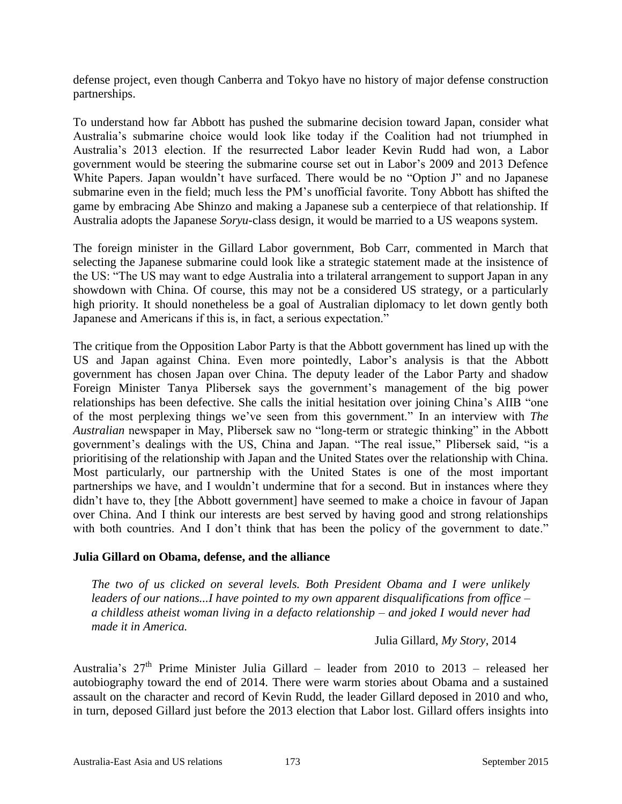defense project, even though Canberra and Tokyo have no history of major defense construction partnerships.

To understand how far Abbott has pushed the submarine decision toward Japan, consider what Australia's submarine choice would look like today if the Coalition had not triumphed in Australia's 2013 election. If the resurrected Labor leader Kevin Rudd had won, a Labor government would be steering the submarine course set out in Labor's 2009 and 2013 Defence White Papers. Japan wouldn't have surfaced. There would be no "Option J" and no Japanese submarine even in the field; much less the PM's unofficial favorite. Tony Abbott has shifted the game by embracing Abe Shinzo and making a Japanese sub a centerpiece of that relationship. If Australia adopts the Japanese *Soryu*-class design, it would be married to a US weapons system.

The foreign minister in the Gillard Labor government, Bob Carr, commented in March that selecting the Japanese submarine could look like a strategic statement made at the insistence of the US: "The US may want to edge Australia into a trilateral arrangement to support Japan in any showdown with China. Of course, this may not be a considered US strategy, or a particularly high priority. It should nonetheless be a goal of Australian diplomacy to let down gently both Japanese and Americans if this is, in fact, a serious expectation."

The critique from the Opposition Labor Party is that the Abbott government has lined up with the US and Japan against China. Even more pointedly, Labor's analysis is that the Abbott government has chosen Japan over China. The deputy leader of the Labor Party and shadow Foreign Minister Tanya Plibersek says the government's management of the big power relationships has been defective. She calls the initial hesitation over joining China's AIIB "one of the most perplexing things we've seen from this government." In an interview with *The Australian* newspaper in May, Plibersek saw no "long-term or strategic thinking" in the Abbott government's dealings with the US, China and Japan. "The real issue," Plibersek said, "is a prioritising of the relationship with Japan and the United States over the relationship with China. Most particularly, our partnership with the United States is one of the most important partnerships we have, and I wouldn't undermine that for a second. But in instances where they didn't have to, they [the Abbott government] have seemed to make a choice in favour of Japan over China. And I think our interests are best served by having good and strong relationships with both countries. And I don't think that has been the policy of the government to date."

#### **Julia Gillard on Obama, defense, and the alliance**

*The two of us clicked on several levels. Both President Obama and I were unlikely leaders of our nations...I have pointed to my own apparent disqualifications from office – a childless atheist woman living in a defacto relationship – and joked I would never had made it in America.*

Julia Gillard, *My Story*, 2014

Australia's  $27<sup>th</sup>$  Prime Minister Julia Gillard – leader from 2010 to 2013 – released her autobiography toward the end of 2014. There were warm stories about Obama and a sustained assault on the character and record of Kevin Rudd, the leader Gillard deposed in 2010 and who, in turn, deposed Gillard just before the 2013 election that Labor lost. Gillard offers insights into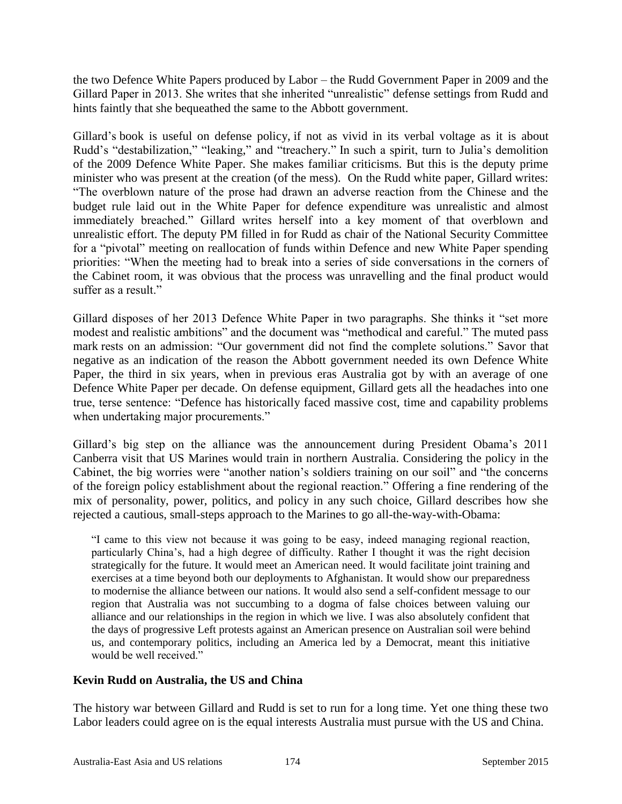the two Defence White Papers produced by Labor – the Rudd Government Paper in 2009 and the Gillard Paper in 2013. She writes that she inherited "unrealistic" defense settings from Rudd and hints faintly that she bequeathed the same to the Abbott government.

Gillard's book is useful on defense policy, if not as vivid in its verbal voltage as it is about Rudd's "destabilization," "leaking," and "treachery." In such a spirit, turn to Julia's demolition of the 2009 Defence White Paper. She makes familiar criticisms. But this is the deputy prime minister who was present at the creation (of the mess). On the Rudd white paper, Gillard writes: "The overblown nature of the prose had drawn an adverse reaction from the Chinese and the budget rule laid out in the White Paper for defence expenditure was unrealistic and almost immediately breached." Gillard writes herself into a key moment of that overblown and unrealistic effort. The deputy PM filled in for Rudd as chair of the National Security Committee for a "pivotal" meeting on reallocation of funds within Defence and new White Paper spending priorities: "When the meeting had to break into a series of side conversations in the corners of the Cabinet room, it was obvious that the process was unravelling and the final product would suffer as a result."

Gillard disposes of her 2013 Defence White Paper in two paragraphs. She thinks it "set more modest and realistic ambitions" and the document was "methodical and careful." The muted pass mark rests on an admission: "Our government did not find the complete solutions." Savor that negative as an indication of the reason the Abbott government needed its own Defence White Paper, the third in six years, when in previous eras Australia got by with an average of one Defence White Paper per decade. On defense equipment, Gillard gets all the headaches into one true, terse sentence: "Defence has historically faced massive cost, time and capability problems when undertaking major procurements."

Gillard's big step on the alliance was the announcement during President Obama's 2011 Canberra visit that US Marines would train in northern Australia. Considering the policy in the Cabinet, the big worries were "another nation's soldiers training on our soil" and "the concerns of the foreign policy establishment about the regional reaction." Offering a fine rendering of the mix of personality, power, politics, and policy in any such choice, Gillard describes how she rejected a cautious, small-steps approach to the Marines to go all-the-way-with-Obama:

"I came to this view not because it was going to be easy, indeed managing regional reaction, particularly China's, had a high degree of difficulty. Rather I thought it was the right decision strategically for the future. It would meet an American need. It would facilitate joint training and exercises at a time beyond both our deployments to Afghanistan. It would show our preparedness to modernise the alliance between our nations. It would also send a self-confident message to our region that Australia was not succumbing to a dogma of false choices between valuing our alliance and our relationships in the region in which we live. I was also absolutely confident that the days of progressive Left protests against an American presence on Australian soil were behind us, and contemporary politics, including an America led by a Democrat, meant this initiative would be well received."

### **Kevin Rudd on Australia, the US and China**

The history war between Gillard and Rudd is set to run for a long time. Yet one thing these two Labor leaders could agree on is the equal interests Australia must pursue with the US and China.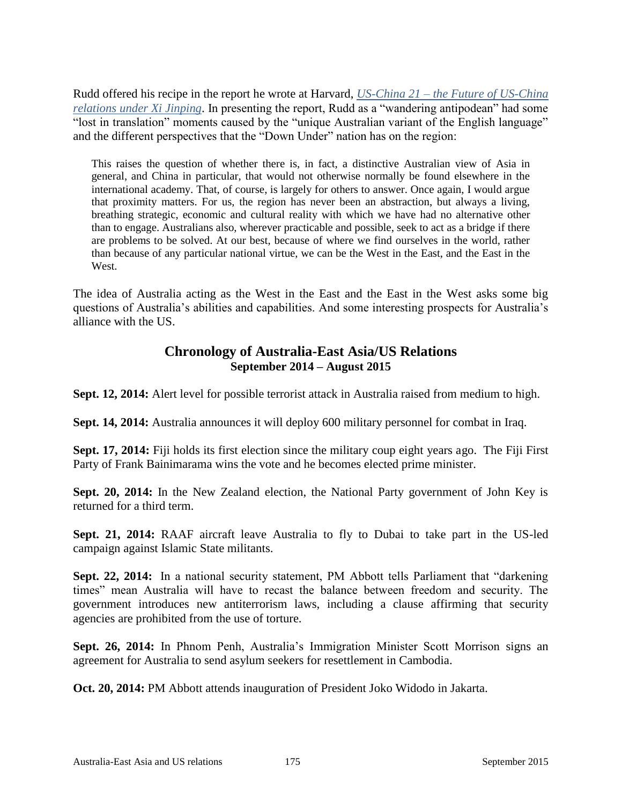Rudd offered his recipe in the report he wrote at Harvard, *US-China 21 – [the Future of US-China](http://belfercenter.ksg.harvard.edu/publication/25237/summary_report.html)  [relations under Xi Jinping](http://belfercenter.ksg.harvard.edu/publication/25237/summary_report.html)*. In presenting the report, Rudd as a "wandering antipodean" had some "lost in translation" moments caused by the "unique Australian variant of the English language" and the different perspectives that the "Down Under" nation has on the region:

This raises the question of whether there is, in fact, a distinctive Australian view of Asia in general, and China in particular, that would not otherwise normally be found elsewhere in the international academy. That, of course, is largely for others to answer. Once again, I would argue that proximity matters. For us, the region has never been an abstraction, but always a living, breathing strategic, economic and cultural reality with which we have had no alternative other than to engage. Australians also, wherever practicable and possible, seek to act as a bridge if there are problems to be solved. At our best, because of where we find ourselves in the world, rather than because of any particular national virtue, we can be the West in the East, and the East in the West.

The idea of Australia acting as the West in the East and the East in the West asks some big questions of Australia's abilities and capabilities. And some interesting prospects for Australia's alliance with the US.

## **Chronology of Australia-East Asia/US Relations September 2014 – August 2015**

**Sept. 12, 2014:** Alert level for possible terrorist attack in Australia raised from medium to high.

**Sept. 14, 2014:** Australia announces it will deploy 600 military personnel for combat in Iraq.

**Sept. 17, 2014:** Fiji holds its first election since the military coup eight years ago. The Fiji First Party of Frank Bainimarama wins the vote and he becomes elected prime minister.

**Sept. 20, 2014:** In the New Zealand election, the National Party government of John Key is returned for a third term.

**Sept. 21, 2014:** RAAF aircraft leave Australia to fly to Dubai to take part in the US-led campaign against Islamic State militants.

**Sept. 22, 2014:** In a national security statement, PM Abbott tells Parliament that "darkening times" mean Australia will have to recast the balance between freedom and security. The government introduces new antiterrorism laws, including a clause affirming that security agencies are prohibited from the use of torture.

**Sept. 26, 2014:** In Phnom Penh, Australia's Immigration Minister Scott Morrison signs an agreement for Australia to send asylum seekers for resettlement in Cambodia.

**Oct. 20, 2014:** PM Abbott attends inauguration of President Joko Widodo in Jakarta.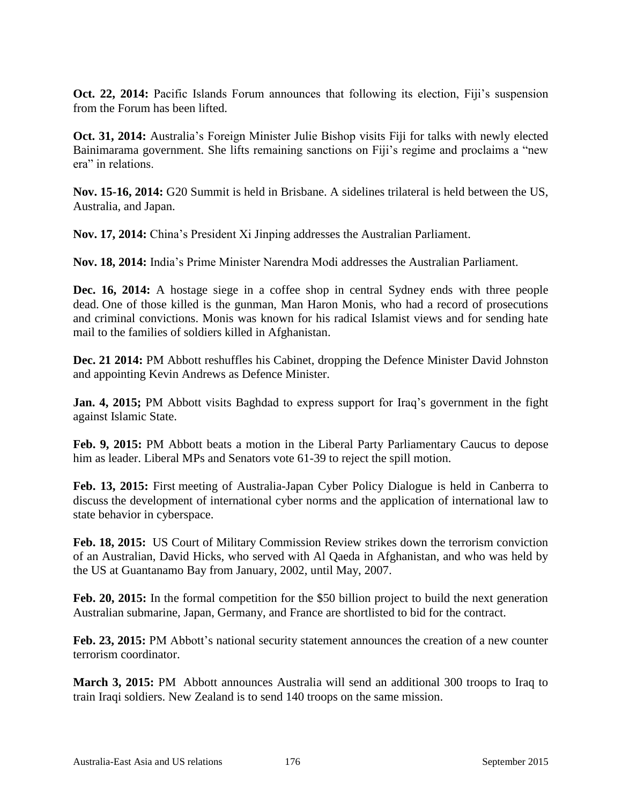**Oct. 22, 2014:** Pacific Islands Forum announces that following its election, Fiji's suspension from the Forum has been lifted.

**Oct. 31, 2014:** Australia's Foreign Minister Julie Bishop visits Fiji for talks with newly elected Bainimarama government. She lifts remaining sanctions on Fiji's regime and proclaims a "new era" in relations.

**Nov. 15-16, 2014:** G20 Summit is held in Brisbane. A sidelines trilateral is held between the US, Australia, and Japan.

**Nov. 17, 2014:** China's President Xi Jinping addresses the Australian Parliament.

**Nov. 18, 2014:** India's Prime Minister Narendra Modi addresses the Australian Parliament.

**Dec. 16, 2014:** A hostage siege in a coffee shop in central Sydney ends with three people dead. One of those killed is the gunman, Man Haron Monis, who had a record of prosecutions and criminal convictions. Monis was known for his radical Islamist views and for sending hate mail to the families of soldiers killed in Afghanistan.

**Dec. 21 2014:** PM Abbott reshuffles his Cabinet, dropping the Defence Minister David Johnston and appointing Kevin Andrews as Defence Minister.

**Jan. 4, 2015;** PM Abbott visits Baghdad to express support for Iraq's government in the fight against Islamic State.

**Feb. 9, 2015:** PM Abbott beats a motion in the Liberal Party Parliamentary Caucus to depose him as leader. Liberal MPs and Senators vote 61-39 to reject the spill motion.

**Feb. 13, 2015:** First meeting of Australia-Japan Cyber Policy Dialogue is held in Canberra to discuss the development of international cyber norms and the application of international law to state behavior in cyberspace.

**Feb. 18, 2015:** US Court of Military Commission Review strikes down the terrorism conviction of an Australian, David Hicks, who served with Al Qaeda in Afghanistan, and who was held by the US at Guantanamo Bay from January, 2002, until May, 2007.

Feb. 20, 2015: In the formal competition for the \$50 billion project to build the next generation Australian submarine, Japan, Germany, and France are shortlisted to bid for the contract.

**Feb. 23, 2015:** PM Abbott's national security statement announces the creation of a new counter terrorism coordinator.

**March 3, 2015:** PM Abbott announces Australia will send an additional 300 troops to Iraq to train Iraqi soldiers. New Zealand is to send 140 troops on the same mission.